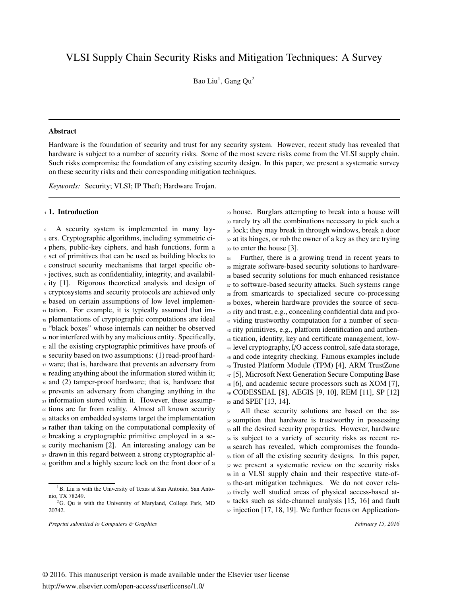Bao Liu<sup>1</sup>, Gang Qu<sup>2</sup>

# Abstract

Hardware is the foundation of security and trust for any security system. However, recent study has revealed that hardware is subject to a number of security risks. Some of the most severe risks come from the VLSI supply chain. Such risks compromise the foundation of any existing security design. In this paper, we present a systematic survey on these security risks and their corresponding mitigation techniques.

*Keywords:* Security; VLSI; IP Theft; Hardware Trojan.

# 11. Introduction

 A security system is implemented in many lay- ers. Cryptographic algorithms, including symmetric ci- phers, public-key ciphers, and hash functions, form a set of primitives that can be used as building blocks to construct security mechanisms that target specific ob- jectives, such as confidentiality, integrity, and availabil- ity [1]. Rigorous theoretical analysis and design of cryptosystems and security protocols are achieved only based on certain assumptions of low level implemen- tation. For example, it is typically assumed that im- plementations of cryptographic computations are ideal "black boxes" whose internals can neither be observed nor interfered with by any malicious entity. Specifically, all the existing cryptographic primitives have proofs of security based on two assumptions: (1) read-proof hard- ware; that is, hardware that prevents an adversary from reading anything about the information stored within it; and (2) tamper-proof hardware; that is, hardware that prevents an adversary from changing anything in the information stored within it. However, these assump- tions are far from reality. Almost all known security attacks on embedded systems target the implementation rather than taking on the computational complexity of breaking a cryptographic primitive employed in a se- curity mechanism [2]. An interesting analogy can be drawn in this regard between a strong cryptographic al-gorithm and a highly secure lock on the front door of a

*Preprint submitted to Computers* & *Graphics February 15, 2016*

 house. Burglars attempting to break into a house will rarely try all the combinations necessary to pick such a 31 lock; they may break in through windows, break a door at its hinges, or rob the owner of a key as they are trying 33 to enter the house [3].

 Further, there is a growing trend in recent years to migrate software-based security solutions to hardware- based security solutions for much enhanced resistance 37 to software-based security attacks. Such systems range from smartcards to specialized secure co-processing boxes, wherein hardware provides the source of secu- rity and trust, e.g., concealing confidential data and pro- viding trustworthy computation for a number of secu- rity primitives, e.g., platform identification and authen- tication, identity, key and certificate management, low- level cryptography, I/O access control, safe data storage, and code integrity checking. Famous examples include Trusted Platform Module (TPM) [4], ARM TrustZone [5], Microsoft Next Generation Secure Computing Base [6], and academic secure processors such as XOM [7], CODESSEAL [8], AEGIS [9, 10], REM [11], SP [12] and SPEF [13, 14].

 All these security solutions are based on the as- sumption that hardware is trustworthy in possessing all the desired security properties. However, hardware is subject to a variety of security risks as recent re- search has revealed, which compromises the founda- tion of all the existing security designs. In this paper, we present a systematic review on the security risks in a VLSI supply chain and their respective state-of- the-art mitigation techniques. We do not cover rela- tively well studied areas of physical access-based at- tacks such as side-channel analysis [15, 16] and fault  $\epsilon_2$  injection [17, 18, 19]. We further focus on Application-

<sup>&</sup>lt;sup>1</sup>B. Liu is with the University of Texas at San Antonio, San Antonio, TX 78249.

G. Qu is with the University of Maryland, College Park, MD 20742.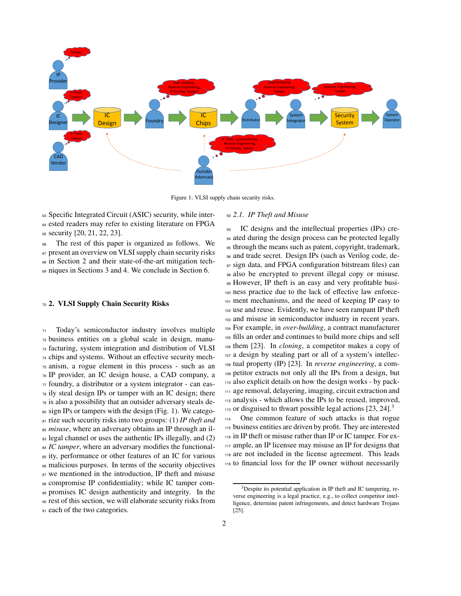

Figure 1: VLSI supply chain security risks.

<sup>63</sup> Specific Integrated Circuit (ASIC) security, while inter-<sup>64</sup> ested readers may refer to existing literature on FPGA <sup>65</sup> security [20, 21, 22, 23].

The rest of this paper is organized as follows. We present an overview on VLSI supply chain security risks in Section 2 and their state-of-the-art mitigation tech-niques in Sections 3 and 4. We conclude in Section 6.

#### <sup>70</sup> 2. VLSI Supply Chain Security Risks

 Today's semiconductor industry involves multiple business entities on a global scale in design, manu- facturing, system integration and distribution of VLSI chips and systems. Without an effective security mech- anism, a rogue element in this process - such as an IP provider, an IC design house, a CAD company, a foundry, a distributor or a system integrator - can eas- ily steal design IPs or tamper with an IC design; there is also a possibility that an outsider adversary steals de- sign IPs or tampers with the design (Fig. 1). We catego- rize such security risks into two groups: (1) *IP theft and misuse*, where an adversary obtains an IP through an il-83 legal channel or uses the authentic IPs illegally, and (2) *IC tamper*, where an adversary modifies the functional- ity, performance or other features of an IC for various malicious purposes. In terms of the security objectives we mentioned in the introduction, IP theft and misuse 88 compromise IP confidentiality; while IC tamper com- promises IC design authenticity and integrity. In the rest of this section, we will elaborate security risks from each of the two categories.

# <sup>92</sup> *2.1. IP Theft and Misuse*

 IC designs and the intellectual properties (IPs) cre- ated during the design process can be protected legally through the means such as patent, copyright, trademark, and trade secret. Design IPs (such as Verilog code, de- sign data, and FPGA configuration bitstream files) can also be encrypted to prevent illegal copy or misuse. However, IP theft is an easy and very profitable busi- ness practice due to the lack of effective law enforce- ment mechanisms, and the need of keeping IP easy to use and reuse. Evidently, we have seen rampant IP theft and misuse in semiconductor industry in recent years. For example, in *over-building*, a contract manufacturer fills an order and continues to build more chips and sell them [23]. In *cloning*, a competitor makes a copy of a design by stealing part or all of a system's intellec- tual property (IP) [23]. In *reverse engineering*, a com- petitor extracts not only all the IPs from a design, but also explicit details on how the design works - by pack- age removal, delayering, imaging, circuit extraction and analysis - which allows the IPs to be reused, improved, or disguised to thwart possible legal actions [23, 24].<sup>3</sup>

 One common feature of such attacks is that rogue business entities are driven by profit. They are interested in IP theft or misuse rather than IP or IC tamper. For ex- ample, an IP licensee may misuse an IP for designs that are not included in the license agreement. This leads to financial loss for the IP owner without necessarily

<sup>&</sup>lt;sup>3</sup>Despite its potential application in IP theft and IC tampering, reverse engineering is a legal practice, e.g., to collect competitor intelligence, determine patent infringements, and detect hardware Trojans [25].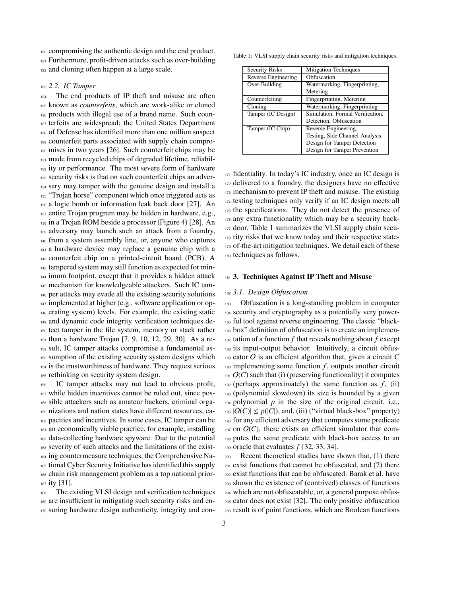compromising the authentic design and the end product. Furthermore, profit-driven attacks such as over-building and cloning often happen at a large scale.

# *2.2. IC Tamper*

 The end products of IP theft and misuse are often known as *counterfeits*, which are work-alike or cloned products with illegal use of a brand name. Such coun- terfeits are widespread; the United States Department of Defense has identified more than one million suspect counterfeit parts associated with supply chain compro- mises in two years [26]. Such counterfeit chips may be made from recycled chips of degraded lifetime, reliabil- ity or performance. The most severe form of hardware security risks is that on such counterfeit chips an adver- sary may tamper with the genuine design and install a "Trojan horse" component which once triggered acts as a logic bomb or information leak back door [27]. An entire Trojan program may be hidden in hardware, e.g., in a Trojan ROM beside a processor (Figure 4) [28]. An adversary may launch such an attack from a foundry, from a system assembly line, or, anyone who captures a hardware device may replace a genuine chip with a counterfeit chip on a printed-circuit board (PCB). A tampered system may still function as expected for min- imum footprint, except that it provides a hidden attack mechanism for knowledgeable attackers. Such IC tam- per attacks may evade all the existing security solutions implemented at higher (e.g., software application or op- erating system) levels. For example, the existing static and dynamic code integrity verification techniques de- tect tamper in the file system, memory or stack rather than a hardware Trojan [7, 9, 10, 12, 29, 30]. As a re- sult, IC tamper attacks compromise a fundamental as- sumption of the existing security system designs which is the trustworthiness of hardware. They request serious rethinking on security system design.

 IC tamper attacks may not lead to obvious profit, while hidden incentives cannot be ruled out, since pos- sible attackers such as amateur hackers, criminal orga- nizations and nation states have different resources, ca- pacities and incentives. In some cases, IC tamper can be an economically viable practice, for example, installing data-collecting hardware spyware. Due to the potential severity of such attacks and the limitations of the exist- ing countermeasure techniques, the Comprehensive Na- tional Cyber Security Initiative has identified this supply chain risk management problem as a top national prior-ity [31].

 The existing VLSI design and verification techniques are insufficient in mitigating such security risks and en-suring hardware design authenticity, integrity and conTable 1: VLSI supply chain security risks and mitigation techniques.

| <b>Security Risks</b> | Mitigation Techniques            |
|-----------------------|----------------------------------|
| Reverse Engineering   | Obfuscation                      |
| Over-Building         | Watermarking, Fingerprinting,    |
|                       | Metering                         |
| Counterfeiting        | Fingerprinting, Metering         |
| Cloning               | Watermarking, Fingerprinting     |
| Tamper (IC Design)    | Simulation, Formal Verification, |
|                       | Detection, Obfuscation           |
| Tamper (IC Chip)      | Reverse Engineering,             |
|                       | Testing, Side Channel Analysis,  |
|                       | Design for Tamper Detection      |
|                       | Design for Tamper Prevention     |

 fidentiality. In today's IC industry, once an IC design is delivered to a foundry, the designers have no effective mechanism to prevent IP theft and misuse. The existing testing techniques only verify if an IC design meets all the specifications. They do not detect the presence of any extra functionality which may be a security back- door. Table 1 summarizes the VLSI supply chain secu- rity risks that we know today and their respective state- of-the-art mitigation techniques. We detail each of these techniques as follows.

## 181 3. Techniques Against IP Theft and Misuse

#### *3.1. Design Obfuscation*

 Obfuscation is a long-standing problem in computer security and cryptography as a potentially very power- ful tool against reverse engineering. The classic "black- box" definition of obfuscation is to create an implemen- tation of a function *f* that reveals nothing about *f* except its input-output behavior. Intuitively, a circuit obfus- cator O is an efficient algorithm that, given a circuit *C* implementing some function *f* , outputs another circuit O(C) such that (i) (preserving functionality) it computes (perhaps approximately) the same function as  $f$ , (ii) (polynomial slowdown) its size is bounded by a given polynomial  $p$  in the size of the original circuit, i.e.,  $_{195}$   $|O(C)| \leq p(|C|)$ , and, (iii) ("virtual black-box" property) for any efficient adversary that computes some predicate on  $O(C)$ , there exists an efficient simulator that com- putes the same predicate with black-box access to an oracle that evaluates *f* [32, 33, 34].

 Recent theoretical studies have shown that, (1) there exist functions that cannot be obfuscated, and (2) there exist functions that can be obfuscated. Barak et al. have shown the existence of (contrived) classes of functions which are not obfuscatable, or, a general purpose obfus- cator does not exist [32]. The only positive obfuscation result is of point functions, which are Boolean functions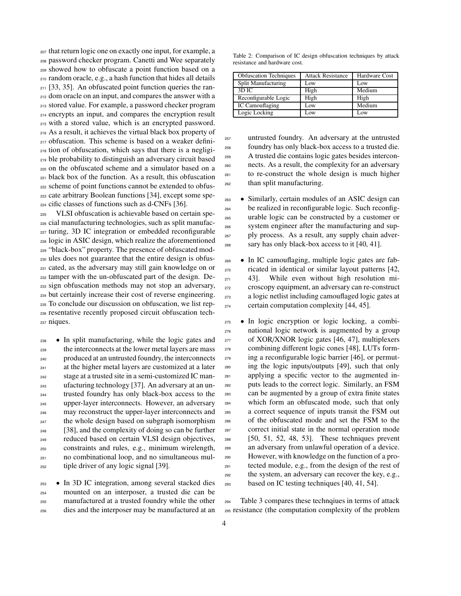that return logic one on exactly one input, for example, a password checker program. Canetti and Wee separately showed how to obfuscate a point function based on a random oracle, e.g., a hash function that hides all details [33, 35]. An obfuscated point function queries the ran- dom oracle on an input, and compares the answer with a stored value. For example, a password checker program encrypts an input, and compares the encryption result with a stored value, which is an encrypted password. As a result, it achieves the virtual black box property of obfuscation. This scheme is based on a weaker defini- tion of obfuscation, which says that there is a negligi- ble probability to distinguish an adversary circuit based on the obfuscated scheme and a simulator based on a black box of the function. As a result, this obfuscation scheme of point functions cannot be extended to obfus- cate arbitrary Boolean functions [34], except some spe-cific classes of functions such as d-CNFs [36].

 VLSI obfuscation is achievable based on certain spe- cial manufacturing technologies, such as split manufac- turing, 3D IC integration or embedded reconfigurable logic in ASIC design, which realize the aforementioned "black-box" property. The presence of obfuscated mod- ules does not guarantee that the entire design is obfus- cated, as the adversary may still gain knowledge on or tamper with the un-obfuscated part of the design. De- sign obfuscation methods may not stop an adversary, but certainly increase their cost of reverse engineering. To conclude our discussion on obfuscation, we list rep- resentative recently proposed circuit obfuscation tech-niques.

 • In split manufacturing, while the logic gates and the interconnects at the lower metal layers are mass produced at an untrusted foundry, the interconnects at the higher metal layers are customized at a later stage at a trusted site in a semi-customized IC man- ufacturing technology [37]. An adversary at an un- trusted foundry has only black-box access to the upper-layer interconnects. However, an adversary <sup>246</sup> may reconstruct the upper-layer interconnects and <sup>247</sup> the whole design based on subgraph isomorphism [38], and the complexity of doing so can be further reduced based on certain VLSI design objectives, constraints and rules, e.g., minimum wirelength, no combinational loop, and no simultaneous mul-tiple driver of any logic signal [39].

 • In 3D IC integration, among several stacked dies mounted on an interposer, a trusted die can be manufactured at a trusted foundry while the other dies and the interposer may be manufactured at an

Table 2: Comparison of IC design obfuscation techniques by attack resistance and hardware cost.

| <b>Obfuscation Techniques</b> | <b>Attack Resistance</b> | Hardware Cost |
|-------------------------------|--------------------------|---------------|
| Split Manufacturing           | Low                      | Low           |
| 3D IC                         | High                     | Medium        |
| Reconfigurable Logic          | High                     | High          |
| IC Camouflaging               | Low                      | Medium        |
| Logic Locking                 | Low                      | Low           |

 untrusted foundry. An adversary at the untrusted foundry has only black-box access to a trusted die. A trusted die contains logic gates besides intercon- nects. As a result, the complexity for an adversary to re-construct the whole design is much higher than split manufacturing.

- Similarly, certain modules of an ASIC design can be realized in reconfigurable logic. Such reconfig- urable logic can be constructed by a customer or system engineer after the manufacturing and sup- ply process. As a result, any supply chain adver-<sup>268</sup> sary has only black-box access to it [40, 41].
- In IC camouflaging, multiple logic gates are fab- ricated in identical or similar layout patterns [42, 43]. While even without high resolution mi- croscopy equipment, an adversary can re-construct a logic netlist including camouflaged logic gates at certain computation complexity [44, 45].
- In logic encryption or logic locking, a combi- national logic network is augmented by a group of XOR/XNOR logic gates [46, 47], multiplexers combining different logic cones [48], LUTs form- ing a reconfigurable logic barrier [46], or permut- ing the logic inputs/outputs [49], such that only applying a specific vector to the augmented in- puts leads to the correct logic. Similarly, an FSM can be augmented by a group of extra finite states which form an obfuscated mode, such that only a correct sequence of inputs transit the FSM out of the obfuscated mode and set the FSM to the correct initial state in the normal operation mode [50, 51, 52, 48, 53]. These techniques prevent an adversary from unlawful operation of a device. However, with knowledge on the function of a pro- tected module, e.g., from the design of the rest of the system, an adversary can recover the key, e.g., based on IC testing techniques [40, 41, 54].

 Table 3 compares these technqiues in terms of attack resistance (the computation complexity of the problem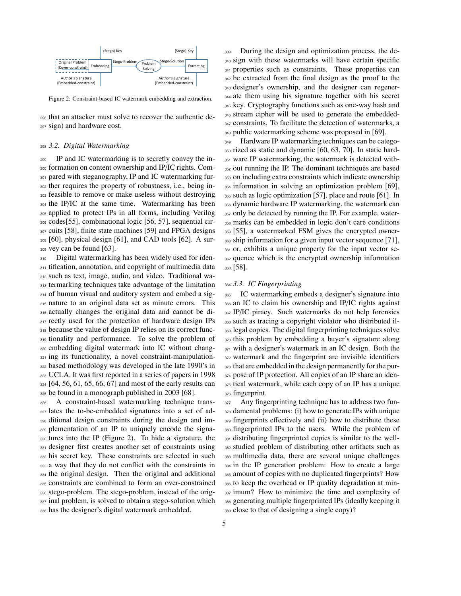

Figure 2: Constraint-based IC watermark embedding and extraction.

 that an attacker must solve to recover the authentic de-sign) and hardware cost.

# *3.2. Digital Watermarking*

 IP and IC watermarking is to secretly convey the in- formation on content ownership and IP/IC rights. Com- pared with steganography, IP and IC watermarking fur- ther requires the property of robustness, i.e., being in- feasible to remove or make useless without destroying the IP/IC at the same time. Watermarking has been applied to protect IPs in all forms, including Verilog codes[55], combinational logic [56, 57], sequential cir- cuits [58], finite state machines [59] and FPGA designs [60], physical design [61], and CAD tools [62]. A sur-vey can be found [63].

 Digital watermarking has been widely used for iden-311 tification, annotation, and copyright of multimedia data such as text, image, audio, and video. Traditional wa- termarking techniques take advantage of the limitation of human visual and auditory system and embed a sig- nature to an original data set as minute errors. This actually changes the original data and cannot be di-317 rectly used for the protection of hardware design IPs because the value of design IP relies on its correct func-319 tionality and performance. To solve the problem of embedding digital watermark into IC without chang- ing its functionality, a novel constraint-manipulation- based methodology was developed in the late 1990's in UCLA. It was first reported in a series of papers in 1998 [64, 56, 61, 65, 66, 67] and most of the early results can be found in a monograph published in 2003 [68].

 A constraint-based watermarking technique trans- lates the to-be-embedded signatures into a set of ad- ditional design constraints during the design and im- plementation of an IP to uniquely encode the signa- tures into the IP (Figure 2). To hide a signature, the designer first creates another set of constraints using his secret key. These constraints are selected in such a way that they do not conflict with the constraints in the original design. Then the original and additional constraints are combined to form an over-constrained stego-problem. The stego-problem, instead of the orig-337 inal problem, is solved to obtain a stego-solution which has the designer's digital watermark embedded.

 During the design and optimization process, the de- sign with these watermarks will have certain specific properties such as constraints. These properties can be extracted from the final design as the proof to the designer's ownership, and the designer can regener- ate them using his signature together with his secret key. Cryptography functions such as one-way hash and stream cipher will be used to generate the embedded- constraints. To facilitate the detection of watermarks, a public watermarking scheme was proposed in [69].

 Hardware IP watermarking techniques can be catego- rized as static and dynamic [60, 63, 70]. In static hard- ware IP watermarking, the watermark is detected with- out running the IP. The dominant techniques are based on including extra constraints which indicate ownership information in solving an optimization problem [69], such as logic optimization [57], place and route [61]. In dynamic hardware IP watermarking, the watermark can only be detected by running the IP. For example, water- marks can be embedded in logic don't care conditions [55], a watermarked FSM gives the encrypted owner- ship information for a given input vector sequence [71], or, exhibits a unique property for the input vector se- quence which is the encrypted ownership information [58].

#### *3.3. IC Fingerprinting*

 IC watermarking embeds a designer's signature into an IC to claim his ownership and IP/IC rights against IP/IC piracy. Such watermarks do not help forensics such as tracing a copyright violator who distributed il- legal copies. The digital fingerprinting techniques solve this problem by embedding a buyer's signature along 371 with a designer's watermark in an IC design. Both the watermark and the fingerprint are invisible identifiers 373 that are embedded in the design permanently for the pur- pose of IP protection. All copies of an IP share an iden-375 tical watermark, while each copy of an IP has a unique fingerprint.

377 Any fingerprinting technique has to address two fun- damental problems: (i) how to generate IPs with unique 379 fingerprints effectively and (ii) how to distribute these fingerprinted IPs to the users. While the problem of distributing fingerprinted copies is similar to the well- studied problem of distributing other artifacts such as multimedia data, there are several unique challenges in the IP generation problem: How to create a large amount of copies with no duplicated fingerprints? How to keep the overhead or IP quality degradation at min- imum? How to minimize the time and complexity of generating multiple fingerprinted IPs (ideally keeping it close to that of designing a single copy)?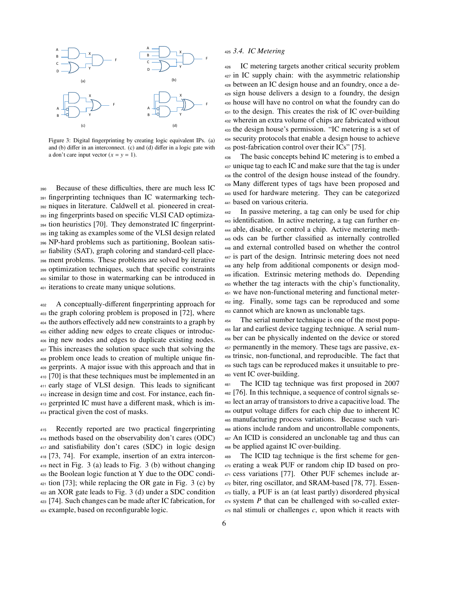

Figure 3: Digital fingerprinting by creating logic equivalent IPs. (a) and (b) differ in an interconnect. (c) and (d) differ in a logic gate with a don't care input vector  $(x = y = 1)$ .

 Because of these difficulties, there are much less IC fingerprinting techniques than IC watermarking tech- niques in literature. Caldwell et al. pioneered in creat- ing fingerprints based on specific VLSI CAD optimiza- tion heuristics [70]. They demonstrated IC fingerprint- ing taking as examples some of the VLSI design related NP-hard problems such as partitioning, Boolean satis- fiability (SAT), graph coloring and standard-cell place- ment problems. These problems are solved by iterative optimization techniques, such that specific constraints similar to those in watermarking can be introduced in iterations to create many unique solutions.

 A conceptually-different fingerprinting approach for the graph coloring problem is proposed in [72], where the authors effectively add new constraints to a graph by either adding new edges to create cliques or introduc- ing new nodes and edges to duplicate existing nodes. This increases the solution space such that solving the problem once leads to creation of multiple unique fin- gerprints. A major issue with this approach and that in [70] is that these techniques must be implemented in an early stage of VLSI design. This leads to significant increase in design time and cost. For instance, each fin- gerprinted IC must have a different mask, which is im-practical given the cost of masks.

 Recently reported are two practical fingerprinting methods based on the observability don't cares (ODC) and satisfiability don't cares (SDC) in logic design [73, 74]. For example, insertion of an extra intercon- nect in Fig. 3 (a) leads to Fig. 3 (b) without changing the Boolean logic function at Y due to the ODC condi- tion [73]; while replacing the OR gate in Fig. 3 (c) by an XOR gate leads to Fig. 3 (d) under a SDC condition [74]. Such changes can be made after IC fabrication, for example, based on reconfigurable logic.

#### *3.4. IC Metering*

 IC metering targets another critical security problem 427 in IC supply chain: with the asymmetric relationship between an IC design house and an foundry, once a de- sign house delivers a design to a foundry, the design house will have no control on what the foundry can do to the design. This creates the risk of IC over-building wherein an extra volume of chips are fabricated without the design house's permission. "IC metering is a set of security protocols that enable a design house to achieve post-fabrication control over their ICs" [75].

 The basic concepts behind IC metering is to embed a unique tag to each IC and make sure that the tag is under the control of the design house instead of the foundry. Many different types of tags have been proposed and used for hardware metering. They can be categorized based on various criteria.

 In passive metering, a tag can only be used for chip identification. In active metering, a tag can further en- able, disable, or control a chip. Active metering meth- ods can be further classified as internally controlled and external controlled based on whether the control is part of the design. Intrinsic metering does not need any help from additional components or design mod- ification. Extrinsic metering methods do. Depending whether the tag interacts with the chip's functionality, we have non-functional metering and functional meter- ing. Finally, some tags can be reproduced and some cannot which are known as unclonable tags.

 The serial number technique is one of the most popu- lar and earliest device tagging technique. A serial num- ber can be physically indented on the device or stored permanently in the memory. These tags are passive, ex- trinsic, non-functional, and reproducible. The fact that such tags can be reproduced makes it unsuitable to pre-vent IC over-building.

 The ICID tag technique was first proposed in 2007 [76]. In this technique, a sequence of control signals se- lect an array of transistors to drive a capacitive load. The output voltage differs for each chip due to inherent IC manufacturing process variations. Because such vari- ations include random and uncontrollable components, An ICID is considered an unclonable tag and thus can be applied against IC over-building.

 The ICID tag technique is the first scheme for gen- erating a weak PUF or random chip ID based on pro- cess variations [77]. Other PUF schemes include ar- biter, ring oscillator, and SRAM-based [78, 77]. Essen- tially, a PUF is an (at least partly) disordered physical system *P* that can be challenged with so-called exter-nal stimuli or challenges *c*, upon which it reacts with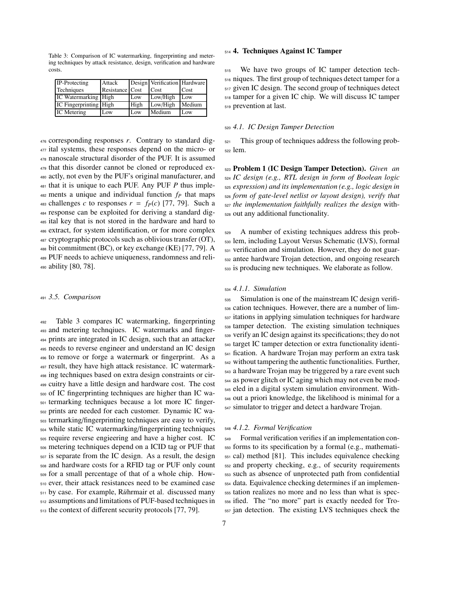Table 3: Comparison of IC watermarking, fingerprinting and metering techniques by attack resistance, design, verification and hardware costs.

| IP-Protecting               | Attack          |      | Design Verification Hardware |        |
|-----------------------------|-----------------|------|------------------------------|--------|
| Techniques                  | Resistance Cost |      | Cost                         | Cost   |
| <b>IC</b> Watermarking High |                 | Low  | Low/High                     | Low    |
| IC Fingerprinting High      |                 | High | Low/High                     | Medium |
| IC Metering                 | Low             | Low  | Medium                       | Low    |

 corresponding responses *r*. Contrary to standard dig- ital systems, these responses depend on the micro- or nanoscale structural disorder of the PUF. It is assumed that this disorder cannot be cloned or reproduced ex- actly, not even by the PUF's original manufacturer, and that it is unique to each PUF. Any PUF *P* thus imple- ments a unique and individual function *f<sup>P</sup>* that maps 483 challenges *c* to responses  $r = f_P(c)$  [77, 79]. Such a response can be exploited for deriving a standard dig- ital key that is not stored in the hardware and hard to extract, for system identification, or for more complex cryptographic protocols such as oblivious transfer (OT), bit commitment (BC), or key exchange (KE) [77, 79]. A PUF needs to achieve uniqueness, randomness and reli-ability [80, 78].

#### *3.5. Comparison*

 Table 3 compares IC watermarking, fingerprinting and metering technqiues. IC watermarks and finger- prints are integrated in IC design, such that an attacker needs to reverse engineer and understand an IC design to remove or forge a watermark or fingerprint. As a result, they have high attack resistance. IC watermark- ing techniques based on extra design constraints or cir- cuitry have a little design and hardware cost. The cost of IC fingerprinting techniques are higher than IC wa- termarking techniques because a lot more IC finger- prints are needed for each customer. Dynamic IC wa- termarking/fingerprinting techniques are easy to verify, while static IC watermarking/fingerprinting techniques require reverse engieering and have a higher cost. IC metering techniques depend on a ICID tag or PUF that is separate from the IC design. As a result, the design and hardware costs for a RFID tag or PUF only count for a small percentage of that of a whole chip. How- ever, their attack resistances need to be examined case by case. For example, Rührmair et al. discussed many assumptions and limitations of PUF-based techniques in the context of different security protocols [77, 79].

#### 4. Techniques Against IC Tamper

 We have two groups of IC tamper detection tech- niques. The first group of techniques detect tamper for a given IC design. The second group of techniques detect tamper for a given IC chip. We will discuss IC tamper prevention at last.

#### *4.1. IC Design Tamper Detection*

 This group of techniques address the following prob-lem.

 Problem 1 (IC Design Tamper Detection). *Given an IC design (e.g., RTL design in form of Boolean logic expression) and its implementation (e.g., logic design in form of gate-level netlist or layout design), verify that the implementation faithfully realizes the design* with-out any additional functionality*.*

 A number of existing techniques address this prob- lem, including Layout Versus Schematic (LVS), formal verification and simulation. However, they do not guar- antee hardware Trojan detection, and ongoing research is producing new techniques. We elaborate as follow.

# *4.1.1. Simulation*

 Simulation is one of the mainstream IC design verifi- cation techniques. However, there are a number of lim- itations in applying simulation techniques for hardware tamper detection. The existing simulation techniques verify an IC design against its specifications; they do not target IC tamper detection or extra functionality identi- fication. A hardware Trojan may perform an extra task without tampering the authentic functionalities. Further, a hardware Trojan may be triggered by a rare event such as power glitch or IC aging which may not even be mod- eled in a digital system simulation environment. With- out a priori knowledge, the likelihood is minimal for a simulator to trigger and detect a hardware Trojan.

## *4.1.2. Formal Verification*

 Formal verification verifies if an implementation con- forms to its specification by a formal (e.g., mathemati- cal) method [81]. This includes equivalence checking and property checking, e.g., of security requirements such as absence of unprotected path from confidential data. Equivalence checking determines if an implemen- tation realizes no more and no less than what is spec- ified. The "no more" part is exactly needed for Tro-jan detection. The existing LVS techniques check the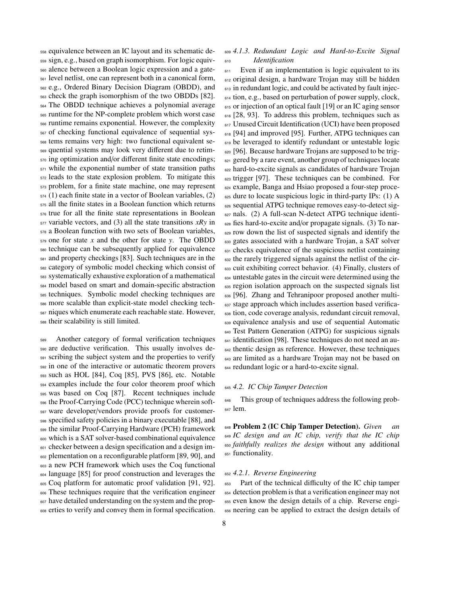equivalence between an IC layout and its schematic de- sign, e.g., based on graph isomorphism. For logic equiv- alence between a Boolean logic expression and a gate- level netlist, one can represent both in a canonical form, e.g., Ordered Binary Decision Diagram (OBDD), and check the graph isomorphism of the two OBDDs [82]. The OBDD technique achieves a polynomial average runtime for the NP-complete problem which worst case runtime remains exponential. However, the complexity of checking functional equivalence of sequential sys- tems remains very high: two functional equivalent se- quential systems may look very different due to retim- ing optimization and/or different finite state encodings; while the exponential number of state transition paths leads to the state explosion problem. To mitigate this problem, for a finite state machine, one may represent (1) each finite state in a vector of Boolean variables, (2) all the finite states in a Boolean function which returns true for all the finite state representations in Boolean variable vectors, and (3) all the state transitions *xRy* in a Boolean function with two sets of Boolean variables, one for state *x* and the other for state *y*. The OBDD technique can be subsequently applied for equivalence and property checkings [83]. Such techniques are in the category of symbolic model checking which consist of systematically exhaustive exploration of a mathematical model based on smart and domain-specific abstraction techniques. Symbolic model checking techniques are more scalable than explicit-state model checking tech- niques which enumerate each reachable state. However, their scalability is still limited.

 Another category of formal verification techniques are deductive verification. This usually involves de- scribing the subject system and the properties to verify in one of the interactive or automatic theorem provers such as HOL [84], Coq [85], PVS [86], etc. Notable examples include the four color theorem proof which was based on Coq [87]. Recent techniques include the Proof-Carrying Code (PCC) technique wherein soft- ware developer/vendors provide proofs for customer- specified safety policies in a binary executable [88], and the similar Proof-Carrying Hardware (PCH) framework which is a SAT solver-based combinational equivalence checker between a design specification and a design im- plementation on a reconfigurable platform [89, 90], and a new PCH framework which uses the Coq functional language [85] for proof construction and leverages the Coq platform for automatic proof validation [91, 92]. These techniques require that the verification engineer have detailed understanding on the system and the prop-erties to verify and convey them in formal specification.

# *4.1.3. Redundant Logic and Hard-to-Excite Signal Identification*

611 Even if an implementation is logic equivalent to its original design, a hardware Trojan may still be hidden in redundant logic, and could be activated by fault injec- tion, e.g., based on perturbation of power supply, clock, or injection of an optical fault [19] or an IC aging sensor [28, 93]. To address this problem, techniques such as Unused Circuit Identification (UCI) have been proposed [94] and improved [95]. Further, ATPG techniques can be leveraged to identify redundant or untestable logic [96]. Because hardware Trojans are supposed to be trig-<sup>621</sup> gered by a rare event, another group of techniques locate hard-to-excite signals as candidates of hardware Trojan trigger [97]. These techniques can be combined. For example, Banga and Hsiao proposed a four-step proce- dure to locate suspicious logic in third-party IPs: (1) A sequential ATPG technique removes easy-to-detect sig- nals. (2) A full-scan N-detect ATPG technique identi- fies hard-to-excite and/or propagate signals. (3) To nar- row down the list of suspected signals and identify the gates associated with a hardware Trojan, a SAT solver checks equivalence of the suspicious netlist containing the rarely triggered signals against the netlist of the cir- cuit exhibiting correct behavior. (4) Finally, clusters of untestable gates in the circuit were determined using the region isolation approach on the suspected signals list [96]. Zhang and Tehranipoor proposed another multi- stage approach which includes assertion based verifica- tion, code coverage analysis, redundant circuit removal, equivalence analysis and use of sequential Automatic Test Pattern Generation (ATPG) for suspicious signals identification [98]. These techniques do not need an au- thentic design as reference. However, these techniques are limited as a hardware Trojan may not be based on redundant logic or a hard-to-excite signal.

# *4.2. IC Chip Tamper Detection*

 This group of techniques address the following prob-lem.

 Problem 2 (IC Chip Tamper Detection). *Given an IC design and an IC chip, verify that the IC chip faithfully realizes the design* without any additional functionality*.*

# *4.2.1. Reverse Engineering*

 Part of the technical difficulty of the IC chip tamper detection problem is that a verification engineer may not even know the design details of a chip. Reverse engi-neering can be applied to extract the design details of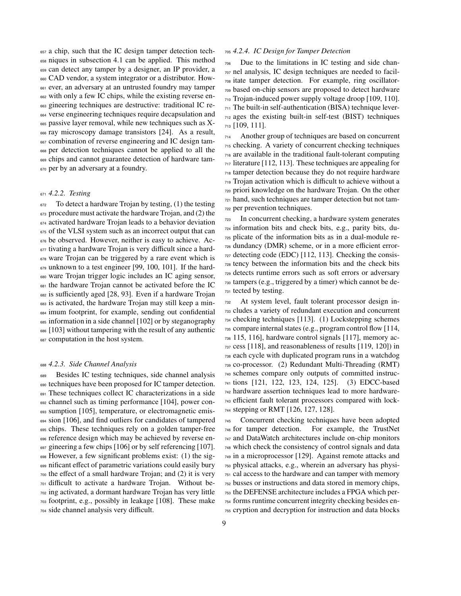a chip, such that the IC design tamper detection tech- niques in subsection 4.1 can be applied. This method can detect any tamper by a designer, an IP provider, a CAD vendor, a system integrator or a distributor. How- ever, an adversary at an untrusted foundry may tamper with only a few IC chips, while the existing reverse en- gineering techniques are destructive: traditional IC re- verse engineering techniques require decapsulation and passive layer removal, while new techniques such as X- ray microscopy damage transistors [24]. As a result, combination of reverse engineering and IC design tam- per detection techniques cannot be applied to all the chips and cannot guarantee detection of hardware tam-per by an adversary at a foundry.

## *4.2.2. Testing*

 To detect a hardware Trojan by testing, (1) the testing procedure must activate the hardware Trojan, and (2) the activated hardware Trojan leads to a behavior deviation of the VLSI system such as an incorrect output that can be observed. However, neither is easy to achieve. Ac- tivating a hardware Trojan is very difficult since a hard- ware Trojan can be triggered by a rare event which is unknown to a test engineer [99, 100, 101]. If the hard- ware Trojan trigger logic includes an IC aging sensor, the hardware Trojan cannot be activated before the IC is sufficiently aged [28, 93]. Even if a hardware Trojan is activated, the hardware Trojan may still keep a min- imum footprint, for example, sending out confidential information in a side channel [102] or by steganography [103] without tampering with the result of any authentic computation in the host system.

#### *4.2.3. Side Channel Analysis*

 Besides IC testing techniques, side channel analysis techniques have been proposed for IC tamper detection. These techniques collect IC characterizations in a side channel such as timing performance [104], power con- sumption [105], temperature, or electromagnetic emis- sion [106], and find outliers for candidates of tampered chips. These techniques rely on a golden tamper-free reference design which may be achieved by reverse en-697 gineering a few chips [106] or by self referencing [107]. However, a few significant problems exist: (1) the sig- nificant effect of parametric variations could easily bury the effect of a small hardware Trojan; and (2) it is very difficult to activate a hardware Trojan. Without be- ing activated, a dormant hardware Trojan has very little footprint, e.g., possibly in leakage [108]. These make side channel analysis very difficult.

## *4.2.4. IC Design for Tamper Detection*

 Due to the limitations in IC testing and side chan- nel analysis, IC design techniques are needed to facil- itate tamper detection. For example, ring oscillator- based on-chip sensors are proposed to detect hardware Trojan-induced power supply voltage droop [109, 110]. The built-in self-authentication (BISA) technique lever- ages the existing built-in self-test (BIST) techniques [109, 111].

 Another group of techniques are based on concurrent checking. A variety of concurrent checking techniques are available in the traditional fault-tolerant computing literature [112, 113]. These techniques are appealing for tamper detection because they do not require hardware Trojan activation which is difficult to achieve without a priori knowledge on the hardware Trojan. On the other hand, such techniques are tamper detection but not tam-per prevention techniques.

 In concurrent checking, a hardware system generates information bits and check bits, e.g., parity bits, du- plicate of the information bits as in a dual-module re- dundancy (DMR) scheme, or in a more efficient error- detecting code (EDC) [112, 113]. Checking the consis- tency between the information bits and the check bits detects runtime errors such as soft errors or adversary tampers (e.g., triggered by a timer) which cannot be de-tected by testing.

 At system level, fault tolerant processor design in- cludes a variety of redundant execution and concurrent checking techniques [113]. (1) Lockstepping schemes compare internal states (e.g., program control flow [114, 115, 116], hardware control signals [117], memory ac- cess [118], and reasonableness of results [119, 120]) in each cycle with duplicated program runs in a watchdog co-processor. (2) Redundant Multi-Threading (RMT) schemes compare only outputs of committed instruc- tions [121, 122, 123, 124, 125]. (3) EDCC-based hardware assertion techniques lead to more hardware- efficient fault tolerant processors compared with lock-stepping or RMT [126, 127, 128].

 Concurrent checking techniques have been adopted for tamper detection. For example, the TrustNet and DataWatch architectures include on-chip monitors which check the consistency of control signals and data in a microprocessor [129]. Against remote attacks and physical attacks, e.g., wherein an adversary has physi- cal access to the hardware and can tamper with memory busses or instructions and data stored in memory chips, the DEFENSE architecture includes a FPGA which per- forms runtime concurrent integrity checking besides en-cryption and decryption for instruction and data blocks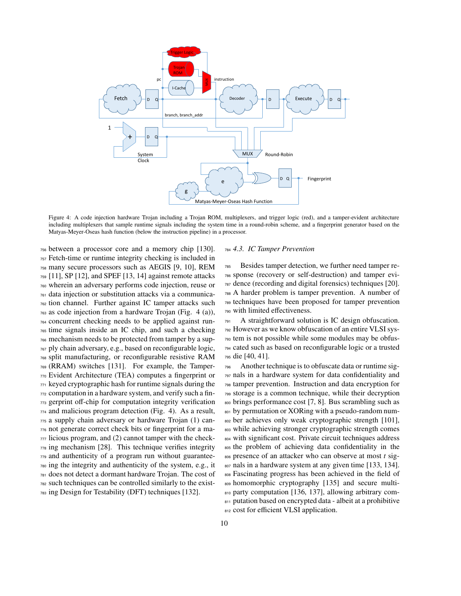

Figure 4: A code injection hardware Trojan including a Trojan ROM, multiplexers, and trigger logic (red), and a tamper-evident architecture including multiplexers that sample runtime signals including the system time in a round-robin scheme, and a fingerprint generator based on the Matyas-Meyer-Oseas hash function (below the instruction pipeline) in a processor.

 between a processor core and a memory chip [130]. Fetch-time or runtime integrity checking is included in many secure processors such as AEGIS [9, 10], REM [11], SP [12], and SPEF [13, 14] against remote attacks wherein an adversary performs code injection, reuse or data injection or substitution attacks via a communica- tion channel. Further against IC tamper attacks such as code injection from a hardware Trojan (Fig. 4 (a)), concurrent checking needs to be applied against run- time signals inside an IC chip, and such a checking mechanism needs to be protected from tamper by a sup- ply chain adversary, e.g., based on reconfigurable logic, split manufacturing, or reconfigurable resistive RAM (RRAM) switches [131]. For example, the Tamper- Evident Architecture (TEA) computes a fingerprint or keyed cryptographic hash for runtime signals during the computation in a hardware system, and verify such a fin- gerprint off-chip for computation integrity verification and malicious program detection (Fig. 4). As a result, a supply chain adversary or hardware Trojan (1) can- not generate correct check bits or fingerprint for a ma- licious program, and (2) cannot tamper with the check- ing mechanism [28]. This technique verifies integrity and authenticity of a program run without guarantee- ing the integrity and authenticity of the system, e.g., it does not detect a dormant hardware Trojan. The cost of such techniques can be controlled similarly to the exist-ing Design for Testability (DFT) techniques [132].

# *4.3. IC Tamper Prevention*

 Besides tamper detection, we further need tamper re- sponse (recovery or self-destruction) and tamper evi- dence (recording and digital forensics) techniques [20]. A harder problem is tamper prevention. A number of techniques have been proposed for tamper prevention with limited effectiveness.

 A straightforward solution is IC design obfuscation. However as we know obfuscation of an entire VLSI sys- tem is not possible while some modules may be obfus- cated such as based on reconfigurable logic or a trusted die [40, 41].

 Another technique is to obfuscate data or runtime sig- nals in a hardware system for data confidentiality and tamper prevention. Instruction and data encryption for storage is a common technique, while their decryption brings performance cost [7, 8]. Bus scrambling such as by permutation or XORing with a pseudo-random num- ber achieves only weak cryptographic strength [101], while achieving stronger cryptographic strength comes with significant cost. Private circuit techniques address 805 the problem of achieving data confidentiality in the presence of an attacker who can observe at most *t* sig- nals in a hardware system at any given time [133, 134]. Fascinating progress has been achieved in the field of 809 homomorphic cryptography [135] and secure multi- party computation [136, 137], allowing arbitrary com-811 putation based on encrypted data - albeit at a prohibitive 812 cost for efficient VLSI application.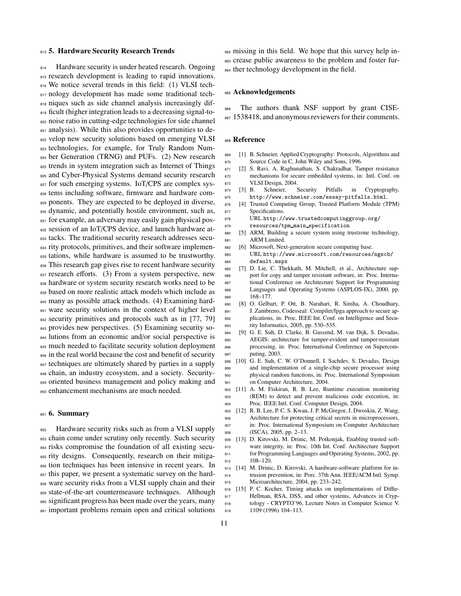#### 5. Hardware Security Research Trends

814 Hardware security is under heated research. Ongoing 815 research development is leading to rapid innovations. We notice several trends in this field: (1) VLSI tech-817 nology development has made some traditional tech- niques such as side channel analysis increasingly dif- ficult (higher integration leads to a decreasing signal-to-820 noise ratio in cutting-edge technologies for side channel 821 analysis). While this also provides opportunities to de-822 velop new security solutions based on emerging VLSI 823 technologies, for example, for Truly Random Num- ber Generation (TRNG) and PUFs. (2) New research 825 trends in system integration such as Internet of Things 826 and Cyber-Physical Systems demand security research 827 for such emerging systems. IoT/CPS are complex sys-828 tems including software, firmware and hardware com-829 ponents. They are expected to be deployed in diverse, 830 dynamic, and potentially hostile environment, such as, 831 for example, an adversary may easily gain physical pos-832 session of an IoT/CPS device, and launch hardware at-833 tacks. The traditional security research addresses secu- rity protocols, primitives, and their software implemen-835 tations, while hardware is assumed to be trustworthy. 836 This research gap gives rise to recent hardware security 837 research efforts. (3) From a system perspective, new 838 hardware or system security research works need to be 839 based on more realistic attack models which include as many as possible attack methods. (4) Examining hard- ware security solutions in the context of higher level 842 security primitives and protocols such as in [77, 79] provides new perspectives. (5) Examining security so- lutions from an economic and/or social perspective is 845 much needed to facilitate security solution deployment 846 in the real world because the cost and benefit of security 847 techniques are ultimately shared by parties in a supply chain, an industry ecosystem, and a society. Security- oriented business management and policy making and enhancement mechanisms are much needed.

## **6. Summary**

 Hardware security risks such as from a VLSI supply chain come under scrutiny only recently. Such security risks compromise the foundation of all existing secu-855 rity designs. Consequently, research on their mitiga- tion techniques has been intensive in recent years. In this paper, we present a systematic survey on the hard- ware security risks from a VLSI supply chain and their 859 state-of-the-art countermeasure techniques. Although significant progress has been made over the years, many important problems remain open and critical solutions  missing in this field. We hope that this survey help in- crease public awareness to the problem and foster fur-864 ther technology development in the field.

#### 865 Acknowledgements

866 The authors thank NSF support by grant CISE-867 1538418, and anonymous reviewers for their comments.

## 868 Reference

- [1] B. Schneier, Applied Cryptography: Protocols, Algorithms and Source Code in C, John Wiley and Sons, 1996.
- [2] S. Ravi, A. Raghunathan, S. Chakradhar, Tamper resistance mechanisms for secure embedded systems, in: Intl. Conf. on VLSI Design, 2004.
- [3] B. Schneier, Security Pitfalls in Cryptography, http://www.schneier.com/essay-pitfalls.html.
- [4] Trusted Computing Group, Trusted Platform Module (TPM) Specifications. URL http://www.trustedcomputinggroup.org/
- resources/tpm main specification
- [5] ARM, Building a secure system using trustzone technology, ARM Limited.
- [6] Microsoft, Next-generation secure computing base. URL http://www.microsoft.com/resources/ngscb/ default.mspx
- [7] D. Lie, C. Thekkath, M. Mitchell, et al., Architecture sup- port for copy and tamper resistant software, in: Proc. Interna- tional Conference on Architecture Support for Programming Languages and Operating Systems (ASPLOS-IX), 2000, pp. 889 168–177
- [8] O. Gelbart, P. Ott, B. Narahari, R. Simha, A. Choudhary, J. Zambreno, Codesseal: Compiler/fpga approach to secure ap- plications, in: Proc. IEEE Int. Conf. on Intelligence and Secu-rity Informatics, 2005, pp. 530–535.
- [9] G. E. Suh, D. Clarke, B. Gassend, M. van Dijk, S. Devadas, AEGIS: architecture for tamper-evident and tamper-resistant processing, in: Proc. International Conference on Supercom-puting, 2003.
- [10] G. E. Suh, C. W. O'Donnell, I. Sachdev, S. Devadas, Design and implementation of a single-chip secure processor using physical random functions, in: Proc. International Symposium on Computer Architecture, 2004.
- [11] A. M. Fiskiran, R. B. Lee, Runtime execution monitoring (REM) to detect and prevent malicious code execution, in: Proc. IEEE Intl. Conf. Computer Design, 2004.
- [12] R. B. Lee, P. C. S. Kwan, J. P. McGregor, J. Dwoskin, Z. Wang, Architecture for protecting critical secrets in microprocessors, in: Proc. International Symposium on Computer Architecture 908 (ISCA), 2005, pp. 2–13.
- [13] D. Kirovski, M. Drinic, M. Potkonjak, Enabling trusted soft- ware integrity, in: Proc. 10th Int. Conf. Architecture Support for Programming Languages and Operating Systems, 2002, pp. 108–120.
- [14] M. Drinic, D. Kirovski, A hardware-software platform for in- trusion prevention, in: Porc. 37th Ann. IEEE/ACM Intl. Symp. Microarchitecture, 2004, pp. 233–242.
- [15] P. C. Kocher, Timing attacks on implementations of Diffie- Hellman, RSA, DSS, and other systems, Advances in Cryp- tology - CRYPTO'96, Lecture Notes in Computer Science V. 919 1109 (1996) 104-113.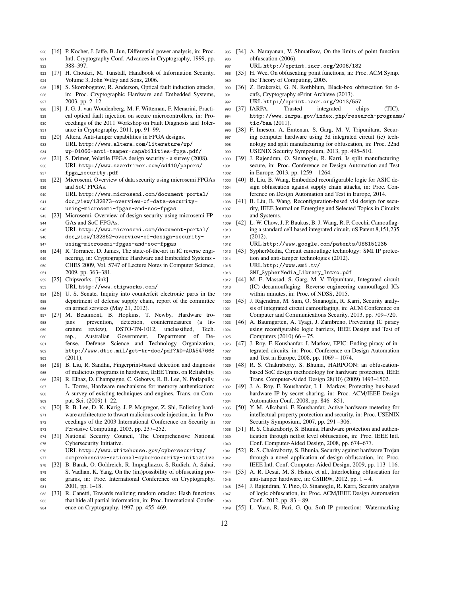- [16] P. Kocher, J. Jaffe, B. Jun, Differential power analysis, in: Proc. Intl. Cryptography Conf. Advances in Cryptography, 1999, pp. 388–397.
- [17] H. Choukri, M. Tunstall, Handbook of Information Security, Volume 3, John Wiley and Sons, 2006.
- [18] S. Skorobogatov, R. Anderson, Optical fault induction attacks, in: Proc. Cryptographic Hardware and Embedded Systems, 927 2003, pp.  $2-12$ .
- [19] J. G. J. van Woudenberg, M. F. Witteman, F. Menarini, Practi- cal optical fault injection on secure microcontrollers, in: Pro- ceedings of the 2011 Workshop on Fault Diagnosis and Toler-ance in Cryptography, 2011, pp. 91–99.
- [20] Altera, Anti-tamper capabilities in FPGA designs.
- URL http://www.altera.com/literature/wp/ wp-01066-anti-tamper-capabilities-fpga.pdf/
- [21] S. Drimer, Volatile FPGA design security a survey (2008). URL http://www.saardrimer.com/sd410/papers/ fpga security.pdf
- [22] Microsemi, Overview of data security using microsemi FPGAs and SoC FPGAs.
- URL http://www.microsemi.com/document-portal/
- doc view/132873-overview-of-data-security-
- using-microsemi-fpgas-and-soc-fpgas
- [23] Microsemi, Overview of design security using microsemi FP-944 GAs and SoC FPGAs.
- URL http://www.microsemi.com/document-portal/
- doc view/132862-overview-of-design-security-
- using-microsemi-fpgas-and-soc-fpgas
- [24] R. Torrance, D. James, The state-of-the-art in IC reverse engi- neering, in: Cryptographic Hardware and Embedded Systems - CHES 2009, Vol. 5747 of Lecture Notes in Computer Science, 2009, pp. 363–381.
- [25] Chipworks. [link].
- 
- 953 URL http://www.chipworks.com/<br>954 [26] U.S. Senate, Inquiry into counterfeit [26] U. S. Senate, Inquiry into counterfeit electronic parts in the department of defense supply chain, report of the committee on armed services (May 21, 2012).
- [27] M. Beaumont, B. Hopkins, T. Newby, Hardware tro- jans prevention, detection, countermeasures (a lit- erature review), DSTO-TN-1012, unclassified, Tech. rep., Australian Government, Department of De- fense, Defense Science and Technology Organization, http://www.dtic.mil/get-tr-doc/pdf?AD=ADA547668 (2011).
- [28] B. Liu, R. Sandhu, Fingerprint-based detection and diagnosis of malicious programs in hardware, IEEE Trans. on Reliability.
- [29] R. Elbaz, D. Champagne, C. Gebotys, R. B. Lee, N. Potlapally, L. Torres, Hardware mechanisms for memory authentication: A survey of existing techniques and engines, Trans. on Com-put. Sci. (2009) 1–22.
- [30] R. B. Lee, D. K. Karig, J. P. Mcgregor, Z. Shi, Enlisting hard- ware architecture to thwart malicious code injection, in: In Pro- ceedings of the 2003 International Conference on Security in Pervasive Computing, 2003, pp. 237–252.
- [31] National Security Council, The Comprehensive National Cybersecurity Initiative.
- URL http://www.whitehouse.gov/cybersecurity/
- comprehensive-national-cybersecurity-initiative
- [32] B. Barak, O. Goldreich, R. Impagliazzo, S. Rudich, A. Sahai, S. Vadhan, K. Yang, On the (im)possibility of obfuscating pro- grams, in: Proc. International Conference on Cryptography, 981 2001, pp.  $1-18$ .
- [33] R. Canetti, Towards realizing random oracles: Hash functions
- that hide all partial information, in: Proc. International Confer-ence on Cryptography, 1997, pp. 455–469.
- [34] A. Narayanan, V. Shmatikov, On the limits of point function obfuscation (2006).
- URL http://eprint.iacr.org/2006/182
- 988 [35] H. Wee, On obfuscating point functions, in: Proc. ACM Symp. the Theory of Computing, 2005.
- [36] Z. Brakerski, G. N. Rothblum, Black-box obfuscation for d-cnfs, Cryptography ePrint Archieve (2013).
- URL http://eprint.iacr.org/2013/557
- [37] IARPA, Trusted integrated chips (TIC), http://www.iarpa.gov/index.php/research-programs/ tic/baa (2011).
- [38] F. Imeson, A. Emtenan, S. Garg, M. V. Tripunitara, Secur- ing computer hardware using 3d integrated circuit (ic) tech- nology and split manufacturing for obfuscation, in: Proc. 22nd USENIX Security Symposium, 2013, pp. 495–510.
- [39] J. Rajendran, O. Sinanoglu, R. Karri, Is split manufacturing secure, in: Proc. Conference on Design Automation and Test in Europe, 2013, pp. 1259 – 1264.
- [40] B. Liu, B. Wang, Embedded reconfigurable logic for ASIC de- sign obfuscation against supply chain attacks, in: Proc. Con-ference on Design Automation and Test in Europe, 2014.
- [41] B. Liu, B. Wang, Reconfiguration-based vlsi design for secu- rity, IEEE Journal on Emerging and Selected Topics in Circuits and Systems.
- [42] L. W. Chow, J. P. Baukus, B. J. Wang, R. P. Cocchi, Camouflag- ing a standard cell based integrated circuit, uS Patent 8,151,235 (2012).
- URL http://www.google.com/patents/US8151235
- [43] SypherMedia, Circuit camouflage technology: SMI IP protec- tion and anti-tamper technologies (2012). URL http://www.smi.tv/

SMI SypherMedia Library Intro.pdf

- [44] M. E. Massad, S. Garg, M. V. Tripunitara, Integrated circuit (IC) decamouflaging: Reverse engineering camouflaged ICs within minutes, in: Proc. of NDSS, 2015.
- [45] J. Rajendran, M. Sam, O. Sinanoglu, R. Karri, Security analy- sis of integrated circuit camouflaging, in: ACM Conference on Computer and Communications Security, 2013, pp. 709–720.
- [46] A. Baumgarten, A. Tyagi, J. Zambreno, Preventing IC piracy using reconfigurable logic barriers, IEEE Design and Test of Computers (2010) 66 – 75.
- [47] J. Roy, F. Koushanfar, I. Markov, EPIC: Ending piracy of in- tegrated circuits, in: Proc. Conference on Design Automation and Test in Europe, 2008, pp. 1069 – 1074.
- [48] R. S. Chakraborty, S. Bhunia, HARPOON: an obfuscation- based SoC design methodology for hardware protection, IEEE Trans. Computer-Aided Design 28(10) (2009) 1493–1502.
- [49] J. A. Roy, F. Koushanfar, I. L. Markov, Protecting bus-based hardware IP by secret sharing, in: Proc. ACM/IEEE Design Automation Conf., 2008, pp. 846 –851.
- [50] Y. M. Alkabani, F. Koushanfar, Active hardware metering for intellectual property protection and security, in: Proc. USENIX Security Symposium, 2007, pp. 291 –306.
- [51] R. S. Chakraborty, S. Bhunia, Hardware protection and authen- tication through netlist level obfuscation, in: Proc. IEEE Intl. Conf. Computer-Aided Design, 2008, pp. 674–677.
- [52] R. S. Chakraborty, S. Bhunia, Security against hardware Trojan through a novel application of design obfuscation, in: Proc. IEEE Intl. Conf. Computer-Aided Design, 2009, pp. 113–116.
- [53] A. R. Desai, M. S. Hsiao, et al., Interlocking obfuscation for anti-tamper hardware, in: CSIIRW, 2012, pp. 1 – 4.
- [54] J. Rajendran, Y. Pino, O. Sinanoglu, R. Karri, Security analysis of logic obfuscation, in: Proc. ACM/IEEE Design Automation Conf., 2012, pp. 83 – 89.
- [55] L. Yuan, R. Pari, G. Qu, Soft IP protection: Watermarking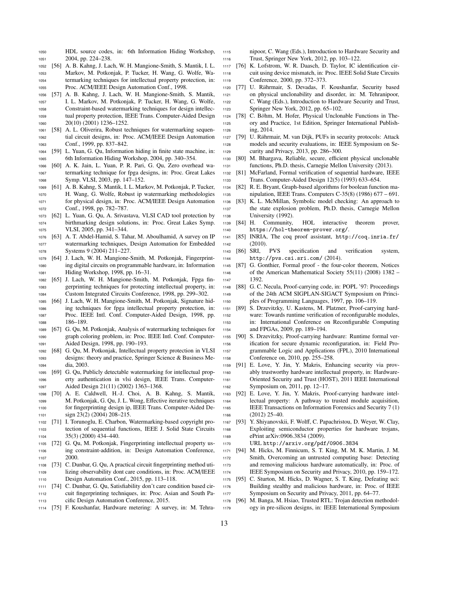- HDL source codes, in: 6th Information Hiding Workshop, 2004, pp. 224–238.
- [56] A. B. Kahng, J. Lach, W. H. Mangione-Smith, S. Mantik, I. L. Markov, M. Potkonjak, P. Tucker, H. Wang, G. Wolfe, Wa- termarking techniques for intellectual property protection, in: Proc. ACM/IEEE Design Automation Conf., 1998.
- [57] A. B. Kahng, J. Lach, W. H. Mangione-Smith, S. Mantik, I. L. Markov, M. Potkonjak, P. Tucker, H. Wang, G. Wolfe, Constraint-based watermarking techniques for design intellec- tual property protection, IEEE Trans. Computer-Aided Design 20(10) (2001) 1236–1252.
- [58] A. L. Oliverira, Robust techniques for watermarking sequen- tial circuit designs, in: Proc. ACM/IEEE Design Automation Conf., 1999, pp. 837–842.
- [59] L. Yuan, G. Qu, Information hiding in finite state machine, in: 6th Information Hiding Workshop, 2004, pp. 340–354.
- [60] A. K. Jain, L. Yuan, P. R. Pari, G. Qu, Zero overhead wa- termarking technique for fpga designs, in: Proc. Great Lakes Symp. VLSI, 2003, pp. 147–152.
- [61] A. B. Kahng, S. Mantik, I. L. Markov, M. Potkonjak, P. Tucker, H. Wang, G. Wolfe, Robust ip watermarking methodologies for physical design, in: Proc. ACM/IEEE Design Automation Conf., 1998, pp. 782–787.
- [62] L. Yuan, G. Qu, A. Srivastava, VLSI CAD tool protection by birthmarking design solutions, in: Proc. Great Lakes Symp. VLSI, 2005, pp. 341–344.
- [63] A. T. Abdel-Hamid, S. Tahar, M. Aboulhamid, A survey on IP watermarking techniques, Design Automation for Embedded Systems 9 (2004) 211–227.
- [64] J. Lach, W. H. Mangione-Smith, M. Potkonjak, Fingerprint- ing digital circuits on programmable hardware, in: Information Hiding Workshop, 1998, pp. 16–31.
- [65] J. Lach, W. H. Mangione-Smith, M. Potkonjak, Fpga fin- gerprinting techniques for protecting intellectual property, in: Custom Integrated Circuits Conference, 1998, pp. 299–302.
- [66] J. Lach, W. H. Mangione-Smith, M. Potkonjak, Signature hid- ing techniques for fpga intellectual property protection, in: Proc. IEEE Intl. Conf. Computer-Aided Design, 1998, pp. 1088 186-189.
- [67] G. Qu, M. Potkonjak, Analysis of watermarking techniques for graph coloring problem, in: Proc. IEEE Intl. Conf. Computer-Aided Design, 1998, pp. 190–193.
- [68] G. Qu, M. Potkonjak, Intellectual property protection in VLSI designs: theory and practice, Springer Science & Business Me-dia, 2003.
- [69] G. Qu, Publicly detectable watermarking for intellectual prop- erty authentication in vlsi design, IEEE Trans. Computer-Aided Design 21(11) (2002) 1363–1368.
- [70] A. E. Caldwell, H.-J. Choi, A. B. Kahng, S. Mantik, M. Potkonjak, G. Qu, J. L. Wong, Effective iterative techniques for fingerprinting design ip, IEEE Trans. Computer-Aided De-sign 23(2) (2004) 208–215.
- [71] I. Torunoglu, E. Charbon, Watermarking-based copyright pro- tection of sequential functions, IEEE J. Solid State Circuits 35(3) (2000) 434–440.
- [72] G. Qu, M. Potkonjak, Fingerprinting intellectual property us- ing constraint-addition, in: Design Automation Conference, 1107 2000.
- [73] C. Dunbar, G. Qu, A practical circuit fingerprinting method uti- lizing observability dont care conditions, in: Proc. ACM/IEEE Design Automation Conf., 2015, pp. 113–118.
- [74] C. Dunbar, G. Qu, Satisfiability don't care condition based cir- cuit fingerprinting techniques, in: Proc. Asian and South Pa-cific Design Automation Conference, 2015.
- [75] F. Koushanfar, Hardware metering: A survey, in: M. Tehra-

 nipoor, C. Wang (Eds.), Introduction to Hardware Security and Trust, Springer New York, 2012, pp. 103–122.

- [76] K. Lofstrom, W. R. Daasch, D. Taylor, IC identification cir- cuit using device mismatch, in: Proc. IEEE Solid State Circuits Conference, 2000, pp. 372–373.
- 1120 [77] U. Rührmair, S. Devadas, F. Koushanfar, Security based on physical unclonability and disorder, in: M. Tehranipoor, C. Wang (Eds.), Introduction to Hardware Security and Trust, Springer New York, 2012, pp. 65–102.
- 1124 [78] C. Böhm, M. Hofer, Physical Unclonable Functions in The- ory and Practice, 1st Edition, Springer International Publish-ing, 2014.
- 1127 [79] U. Rührmair, M. van Dijk, PUFs in security protocols: Attack models and security evaluations, in: IEEE Symposium on Se-curity and Privacy, 2013, pp. 286–300.
- [80] M. Bhargava, Reliable, secure, efficient physical unclonable functions, Ph.D. thesis, Carnegie Mellon University (2013).
- [81] McFarland, Formal verification of sequential hardware, IEEE Trans. Computer-Aided Design 12(5) (1993) 633–654.
- [82] R. E. Bryant, Graph-based algorithms for boolean function ma-nipulation, IEEE Trans. Computers C-35(8) (1986) 677 – 691.
- [83] K. L. McMillan, Symbolic model checking: An approach to the state explosion problem, Ph.D. thesis, Carnegie Mellon University (1992).
- [84] H. Community, HOL interactive theorem prover, https://hol-theorem-prover.org/.
- [85] INRIA, The coq proof assistant, http://coq.inria.fr/ (2010).
- [86] SRI, PVS specification and verification system, http://pvs.csi.sri.com/ (2014).
- [87] G. Gonthier, Formal proof the four-color theorem, Notices of the American Mathematical Society 55(11) (2008) 1382 – 1392.
- [88] G. C. Necula, Proof-carrying code, in: POPL '97: Proceedings of the 24th ACM SIGPLAN-SIGACT Symposium on Princi-
- ples of Programming Languages, 1997, pp. 106–119. [89] S. Drzevitzky, U. Kastens, M. Platzner, Proof-carrying hard- ware: Towards runtime verification of reconfigurable modules, in: International Conference on Reconfigurable Computing and FPGAs, 2009, pp. 189–194.
- [90] S. Drzevitzky, Proof-carrying hardware: Runtime formal ver- ification for secure dynamic reconfiguration, in: Field Pro- grammable Logic and Applications (FPL), 2010 International Conference on, 2010, pp. 255–258.
- [91] E. Love, Y. Jin, Y. Makris, Enhancing security via prov- ably trustworthy hardware intellectual property, in: Hardware- Oriented Security and Trust (HOST), 2011 IEEE International Symposium on, 2011, pp. 12–17.
- [92] E. Love, Y. Jin, Y. Makris, Proof-carrying hardware intel- lectual property: A pathway to trusted module acquisition, IEEE Transactions on Information Forensics and Security 7 (1) (2012) 25–40.
- [93] Y. Shiyanovskii, F. Wolff, C. Papachristou, D. Weyer, W. Clay, Exploiting semiconductor properties for hardware trojans, ePrint arXiv:0906.3834 (2009).

URL http://arxiv.org/pdf/0906.3834

- [94] M. Hicks, M. Finnicum, S. T. King, M. M. K. Martin, J. M. Smith, Overcoming an untrusted computing base: Detecting and removing malicious hardware automatically, in: Proc. of IEEE Symposium on Security and Privacy, 2010, pp. 159–172.
- [95] C. Sturton, M. Hicks, D. Wagner, S. T. King, Defeating uci: Building stealthy and malicious hardware, in: Proc. of IEEE 1177 Symposium on Security and Privacy, 2011, pp. 64–77.
- [96] M. Banga, M. Hsiao, Trusted RTL: Trojan detection methodol-ogy in pre-silicon designs, in: IEEE International Symposium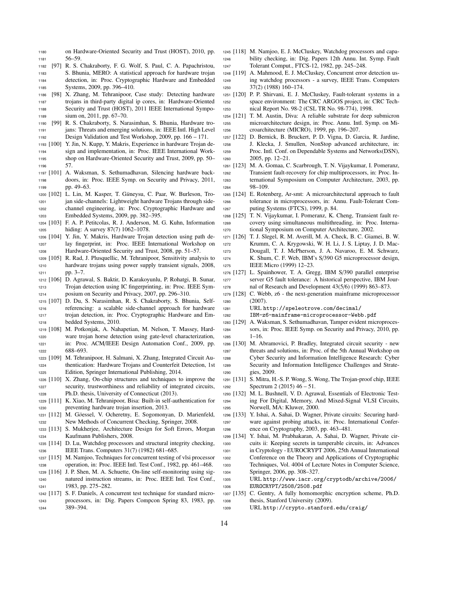- on Hardware-Oriented Security and Trust (HOST), 2010, pp. 1181 56–59<br>1182 [97] R. S.
- [97] R. S. Chakraborty, F. G. Wolf, S. Paul, C. A. Papachristou, S. Bhunia, MERO: A statistical approach for hardware trojan detection, in: Proc. Cryptographic Hardware and Embedded Systems, 2009, pp. 396–410.
- [98] X. Zhang, M. Tehranipoor, Case study: Detecting hardware trojans in third-party digital ip cores, in: Hardware-Oriented Security and Trust (HOST), 2011 IEEE International Sympo-sium on, 2011, pp. 67–70.
- [99] R. S. Chakraborty, S. Narasimhan, S. Bhunia, Hardware tro- jans: Threats and emerging solutions, in: IEEE Intl. High Level Design Validation and Test Workshop, 2009, pp. 166 – 171.
- [100] Y. Jin, N. Kupp, Y. Makris, Experience in hardware Trojan de-
- sign and implementation, in: Proc. IEEE International Work- shop on Hardware-Oriented Security and Trust, 2009, pp. 50– 57.
- [101] A. Waksman, S. Sethumadhavan, Silencing hardware back- doors, in: Proc. IEEE Symp. on Security and Privacy, 2011, pp. 49–63.
- 1200 [102] L. Lin, M. Kasper, T. Güneysu, C. Paar, W. Burleson, Tro- jan side-channels: Lightweight hardware Trojans through side- channel engineering, in: Proc. Cryptographic Hardware and Embedded Systems, 2009, pp. 382–395.
- [103] F. A. P. Petitcolas, R. J. Anderson, M. G. Kuhn, Information hiding: A survey 87(7) 1062–1078.
- [104] Y. Jin, Y. Makris, Hardware Trojan detection using path de- lay fingerprint, in: Proc. IEEE International Workshop on Hardware-Oriented Security and Trust, 2008, pp. 51–57.
- [105] R. Rad, J. Plusquellic, M. Tehranipoor, Sensitivity analysis to hardware trojans using power supply transient signals, 2008, pp. 3–7.
- [106] D. Agrawal, S. Baktir, D. Karakoyunlu, P. Rohatgi, B. Sunar, Trojan detection using IC fingerprinting, in: Proc. IEEE Sym-posium on Security and Privacy, 2007, pp. 296–310.
- [107] D. Du, S. Narasimhan, R. S. Chakraborty, S. Bhunia, Self- referencing: a scalable side-channel approach for hardware trojan detection, in: Proc. Cryptographic Hardware and Em-bedded Systems, 2010.
- [108] M. Potkonjak, A. Nahapetian, M. Nelson, T. Massey, Hard- ware trojan horse detection using gate-level characterization, in: Proc. ACM/IEEE Design Automation Conf., 2009, pp. 688–693.
- [109] M. Tehranipoor, H. Salmani, X. Zhang, Integrated Circuit Au- thentication: Hardware Trojans and Counterfeit Detection, 1st Edition, Springer International Publishing, 2014.
- [110] X. Zhang, On-chip structures and techniques to improve the security, trustworthiness and reliability of integrated circuits, Ph.D. thesis, University of Connecticut (2013).
- [111] K. Xiao, M. Tehranipoor, Bisa: Built-in self-authentication for preventing hardware trojan insertion, 2013.
- 1231 [112] M. Göessel, V. Ocheretny, E. Sogomonyan, D. Marienfeld, New Methods of Concurrent Checking, Springer, 2008.
- [113] S. Mukherjee, Architecture Design for Soft Errors, Morgan Kaufmann Publishers, 2008.
- [114] D. Lu, Watchdog processors and structural integrity checking, IEEE Trans. Computers 31(7) (1982) 681–685.
- [115] M. Namjoo, Techniques for concurrent testing of vlsi processor operation, in: Proc. IEEE Intl. Test Conf., 1982, pp. 461–468.
- [116] J. P. Shen, M. A. Schuette, On-line self-monitoring using sig-
- natured instruction streams, in: Proc. IEEE Intl. Test Conf., 1983, pp. 275–282.
- [117] S. F. Daniels, A concurrent test technique for standard micro- processors, in: Dig. Papers Compcon Spring 83, 1983, pp. 389–394.
- [118] M. Namjoo, E. J. McCluskey, Watchdog processors and capa- bility checking, in: Dig. Papers 12th Annu. Int. Symp. Fault Tolerant Comput., FTCS-12, 1982, pp. 245–248.
- [119] A. Mahmood, E. J. McCluskey, Concurrent error detection us- ing watchdog processors - a survey, IEEE Trans. Computers 37(2) (1988) 160–174.
- [120] P. P. Shirvani, E. J. McCluskey, Fault-tolerant systems in a space environment: The CRC ARGOS project, in: CRC Tech-nical Report No. 98-2 (CSL TR No. 98-774), 1998.
- [121] T. M. Austin, Diva: A reliable substrate for deep submicron microarchitecture design, in: Proc. Annu. Intl. Symp. on Mi-croarchitecture (MICRO), 1999, pp. 196–207.
- [122] D. Bernick, B. Bruckert, P. D. Vigna, D. Garcia, R. Jardine, J. Klecka, J. Smullen, NonStop advanced architecture, in: Proc. Intl. Conf. on Dependable Systems and Networks(DSN), 2005, pp. 12–21.
- [123] M. A. Gomaa, C. Scarbrough, T. N. Vijaykumar, I. Pomeranz, Transient fault-recovery for chip multiprocessors, in: Proc. In- ternational Symposium on Computer Architecture, 2003, pp. 98–109.
- [124] E. Rotenberg, Ar-smt: A microarchitectural approach to fault tolerance in microprocessors, in: Annu. Fault-Tolerant Com-puting Systems (FTCS), 1999, p. 84.
- [125] T. N. Vijaykumar, I. Pomeranz, K. Cheng, Transient fault re- covery using simultaneous multithreading, in: Proc. Interna-tional Symposium on Computer Architecture, 2002.
- [126] T. J. Slegel, R. M. Averill, M. A. Check, B. C. Giamei, B. W. Krumm, C. A. Krygowski, W. H. Li, J. S. Liptay, J. D. Mac- Dougall, T. J. McPherson, J. A. Navaroo, E. M. Schwarz, K. Shum, C. F. Web, IBM's S/390 G5 microprocessor design, IEEE Micro (1999) 12–23.
- [127] L. Spainhower, T. A. Gregg, IBM S/390 parallel enterprise server G5 fault tolerance: A historical perspective, IBM Jour-nal of Research and Development 43(5/6) (1999) 863–873.
- [128] C. Webb, z6 the next-generation mainframe microprocessor (2007).
- URL http://speleotrove.com/decimal/
- IBM-z6-mainframe-microprocessor-Webb.pdf
- [129] A. Waksman, S. Sethumadhavan, Tamper evident microproces- sors, in: Proc. IEEE Symp. on Security and Privacy, 2010, pp. 1–16.
- [130] M. Abramovici, P. Bradley, Integrated circuit security new threats and solutions, in: Proc. of the 5th Annual Workshop on Cyber Security and Information Intelligence Research: Cyber Security and Information Intelligence Challenges and Strate-gies, 2009.
- [131] S. Mitra, H.-S. P. Wong, S. Wong, The Trojan-proof chip, IEEE Spectrum 2 (2015) 46 – 51.
- [132] M. L. Bushnell, V. D. Agrawal, Essentials of Electronic Test- ing For Digital, Memory, And Mixed-Signal VLSI Circuits, Norwell, MA: Kluwer, 2000.
- [133] Y. Ishai, A. Sahai, D. Wagner, Private circuits: Securing hard- ware against probing attacks, in: Proc. International Confer-ence on Cryptography, 2003, pp. 463–481.
- [134] Y. Ishai, M. Prabhakaran, A. Sahai, D. Wagner, Private cir- cuits ii: Keeping secrets in tamperable circuits, in: Advances in Cryptology - EUROCRYPT 2006, 25th Annual International Conference on the Theory and Applications of Cryptographic Techniques, Vol. 4004 of Lecture Notes in Computer Science, Springer, 2006, pp. 308–327.

 URL http://www.iacr.org/cryptodb/archive/2006/ EUROCRYPT/2508/2508.pdf

- [135] C. Gentry, A fully homomorphic encryption scheme, Ph.D. thesis, Stanford University (2009).
- URL http://crypto.stanford.edu/craig/